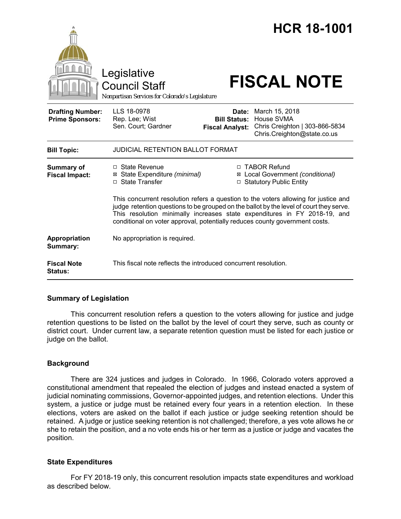|                                                   | Legislative<br><b>Council Staff</b><br>Nonpartisan Services for Colorado's Legislature                                                                                                                                                                                                                                                     |                                                        | <b>HCR 18-1001</b><br><b>FISCAL NOTE</b>                                                      |  |
|---------------------------------------------------|--------------------------------------------------------------------------------------------------------------------------------------------------------------------------------------------------------------------------------------------------------------------------------------------------------------------------------------------|--------------------------------------------------------|-----------------------------------------------------------------------------------------------|--|
| <b>Drafting Number:</b><br><b>Prime Sponsors:</b> | LLS 18-0978<br>Rep. Lee; Wist<br>Sen. Court; Gardner                                                                                                                                                                                                                                                                                       | Date:<br><b>Bill Status:</b><br><b>Fiscal Analyst:</b> | March 15, 2018<br>House SVMA<br>Chris Creighton   303-866-5834<br>Chris.Creighton@state.co.us |  |
| <b>Bill Topic:</b>                                | <b>JUDICIAL RETENTION BALLOT FORMAT</b>                                                                                                                                                                                                                                                                                                    |                                                        |                                                                                               |  |
| <b>Summary of</b><br><b>Fiscal Impact:</b>        | □ State Revenue<br>⊠ State Expenditure (minimal)<br>□ State Transfer                                                                                                                                                                                                                                                                       |                                                        | □ TABOR Refund<br>⊠ Local Government (conditional)<br>□ Statutory Public Entity               |  |
|                                                   | This concurrent resolution refers a question to the voters allowing for justice and<br>judge retention questions to be grouped on the ballot by the level of court they serve.<br>This resolution minimally increases state expenditures in FY 2018-19, and<br>conditional on voter approval, potentially reduces county government costs. |                                                        |                                                                                               |  |
| Appropriation<br>Summary:                         | No appropriation is required.                                                                                                                                                                                                                                                                                                              |                                                        |                                                                                               |  |
| <b>Fiscal Note</b><br><b>Status:</b>              | This fiscal note reflects the introduced concurrent resolution.                                                                                                                                                                                                                                                                            |                                                        |                                                                                               |  |

# **Summary of Legislation**

This concurrent resolution refers a question to the voters allowing for justice and judge retention questions to be listed on the ballot by the level of court they serve, such as county or district court. Under current law, a separate retention question must be listed for each justice or judge on the ballot.

# **Background**

There are 324 justices and judges in Colorado. In 1966, Colorado voters approved a constitutional amendment that repealed the election of judges and instead enacted a system of judicial nominating commissions, Governor-appointed judges, and retention elections. Under this system, a justice or judge must be retained every four years in a retention election. In these elections, voters are asked on the ballot if each justice or judge seeking retention should be retained. A judge or justice seeking retention is not challenged; therefore, a yes vote allows he or she to retain the position, and a no vote ends his or her term as a justice or judge and vacates the position.

# **State Expenditures**

For FY 2018-19 only, this concurrent resolution impacts state expenditures and workload as described below.